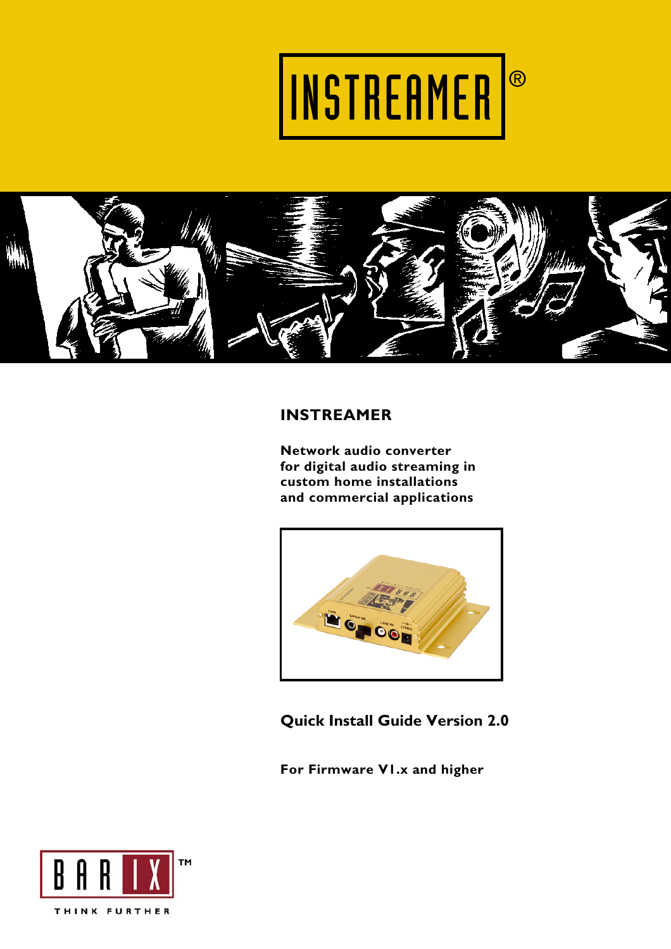



# **INSTREAMER**

**Network audio converter for digital audio streaming in custom home installations and commercial applications** 



**Quick Install Guide Version 2.0** 

**For Firmware V1.x and higher** 

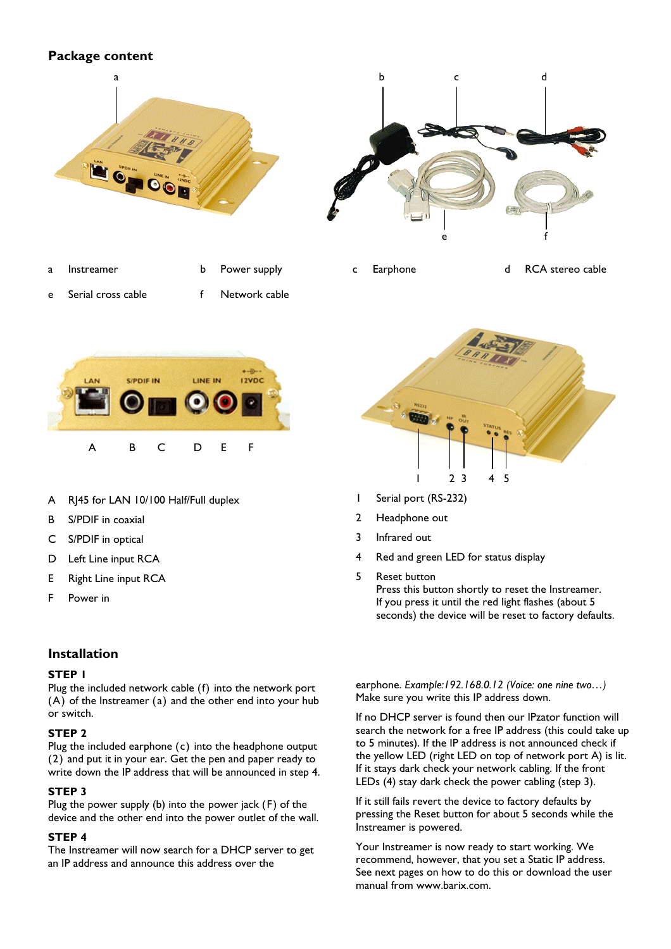# **Package content**



a Instreamer b Power supply c Earphone d RCA stereo cable

e Serial cross cable f Network cable





- A RJ45 for LAN 10/100 Half/Full duplex
- B S/PDIF in coaxial
- C S/PDIF in optical
- D Left Line input RCA
- E Right Line input RCA
- F Power in

# **Installation**

#### **STEP 1**

Plug the included network cable (f) into the network port (A) of the Instreamer (a) and the other end into your hub or switch.

#### **STEP 2**

Plug the included earphone (c) into the headphone output (2) and put it in your ear. Get the pen and paper ready to write down the IP address that will be announced in step 4.

#### **STEP 3**

Plug the power supply (b) into the power jack (F) of the device and the other end into the power outlet of the wall.

## **STEP 4**

The Instreamer will now search for a DHCP server to get an IP address and announce this address over the



- 1 Serial port (RS-232)
- 2 Headphone out
- 3 Infrared out
- 4 Red and green LED for status display
- 5 Reset button

Press this button shortly to reset the Instreamer. If you press it until the red light flashes (about 5 seconds) the device will be reset to factory defaults.

earphone. *Example:192.168.0.12 (Voice: one nine two…)*  Make sure you write this IP address down.

If no DHCP server is found then our IPzator function will search the network for a free IP address (this could take up to 5 minutes). If the IP address is not announced check if the yellow LED (right LED on top of network port A) is lit. If it stays dark check your network cabling. If the front LEDs (4) stay dark check the power cabling (step 3).

If it still fails revert the device to factory defaults by pressing the Reset button for about 5 seconds while the Instreamer is powered.

Your Instreamer is now ready to start working. We recommend, however, that you set a Static IP address. See next pages on how to do this or download the user manual from www.barix.com.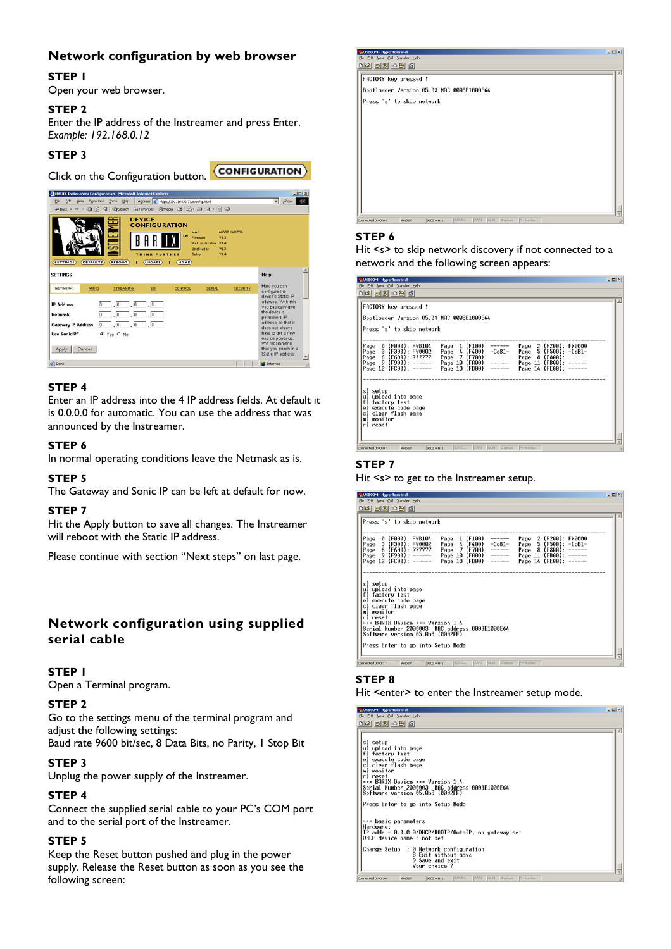# **Network configuration by web browser**

## **STEP 1**

Open your web browser.

## **STEP 2**

Enter the IP address of the Instreamer and press Enter. *Example: 192.168.0.12* 

(CONFIGURATION)

# **STEP 3**

Click on the Configuration button.



## **STEP 4**

Enter an IP address into the 4 IP address fields. At default it is 0.0.0.0 for automatic. You can use the address that was announced by the Instreamer.

## **STEP 6**

In normal operating conditions leave the Netmask as is.

#### **STEP 5**

The Gateway and Sonic IP can be left at default for now.

#### **STEP 7**

Hit the Apply button to save all changes. The Instreamer will reboot with the Static IP address.

Please continue with section "Next steps" on last page.

# **Network configuration using supplied serial cable**

#### **STEP 1**

Open a Terminal program.

#### **STEP 2**

Go to the settings menu of the terminal program and adjust the following settings:

Baud rate 9600 bit/sec, 8 Data Bits, no Parity, 1 Stop Bit

# **STEP 3**

Unplug the power supply of the Instreamer.

## **STEP 4**

Connect the supplied serial cable to your PC's COM port and to the serial port of the Instreamer.

#### **STEP 5**

Keep the Reset button pushed and plug in the power supply. Release the Reset button as soon as you see the following screen:



#### **STEP 6**

Hit <s> to skip network discovery if not connected to a network and the following screen appears:

| USBCOM - HyperTerminal<br>Edit View Call Transfer Help                                                                                                                                                                                                                                                                                                                                                                                                                      |  |
|-----------------------------------------------------------------------------------------------------------------------------------------------------------------------------------------------------------------------------------------------------------------------------------------------------------------------------------------------------------------------------------------------------------------------------------------------------------------------------|--|
| 0303098                                                                                                                                                                                                                                                                                                                                                                                                                                                                     |  |
| FACTORY key pressed !                                                                                                                                                                                                                                                                                                                                                                                                                                                       |  |
| Bootloader Version 05.03 MAC 0008E1000E64                                                                                                                                                                                                                                                                                                                                                                                                                                   |  |
| Press 's' to skip network                                                                                                                                                                                                                                                                                                                                                                                                                                                   |  |
| 0 (F000): FWB104<br>Page 2 (F200): FW0000<br>Page<br>$1$ (F100): ------<br>Page<br>5 (F500): -CoB1-<br>3 (F300): FW0002<br>$4$ (F400): $-CoB1-$<br>Page<br>Page<br>Page<br>8<br>- 6<br>777777<br>(F600):<br>Page<br>(F700):<br>$- - - - - -$<br>Page<br>(F800)<br>Page<br>(F900):<br>(FA00):<br>9<br>Page 10<br>Page 11<br>$(FB00)$ :<br>Page<br>------<br>$- - - - - -$<br>Page 12 (FC00): ------<br>Page 13 (FD00): ------<br>Page 14 (FE00):<br><b><i>CONTRACTOR</i></b> |  |
| s) setup<br>u) upload into page<br>f)<br>factory test<br>e) execute code page<br>clear flash page<br>c)<br>monitor<br>m<br>r) reset                                                                                                                                                                                                                                                                                                                                         |  |
| CAPS NUM Capture Print echo<br>SCROLL<br>Connected 0:00:07<br>9600 8-N-1<br>ANSIW                                                                                                                                                                                                                                                                                                                                                                                           |  |

### **STEP 7**

Hit <s> to get to the Instreamer setup.



# **STEP 8**

Hit <enter> to enter the Instreamer setup mode.

| <b>CONVENTED TYPES COMMUNI</b>                                                 | -- - |
|--------------------------------------------------------------------------------|------|
| Fle Edit View Call Transfer Help                                               |      |
| $D = 3$ $D = 3$                                                                |      |
|                                                                                |      |
|                                                                                |      |
| s) setup                                                                       |      |
| u) upload into page                                                            |      |
| f) factory test                                                                |      |
| e) execute code page                                                           |      |
| c) clear flash page                                                            |      |
| m) monitor                                                                     |      |
| r) reset                                                                       |      |
| *** BARIX Device *** Version 1.4                                               |      |
| Serial Number 2000003 MAC address 0008E1000E64                                 |      |
| Software version 05.0b3 (0002FF)                                               |      |
| Press Enter to go into Setup Mode                                              |      |
|                                                                                |      |
|                                                                                |      |
| *** basic parameters                                                           |      |
| Hardware:                                                                      |      |
| IP addr - 0.0.0.0/DHCP/BOOTP/AutoIP, no gateway set                            |      |
| DHCP device name : not set                                                     |      |
|                                                                                |      |
| Change Setup : 0 Network configuration                                         |      |
| 8 Exit without save<br>9 Save and exit                                         |      |
| Your choice ?                                                                  |      |
|                                                                                |      |
| SCROLL CAPS NUM Capture Print echo<br>9600 8-N-1<br>Connected 0:00:38<br>ANSIW |      |
|                                                                                |      |